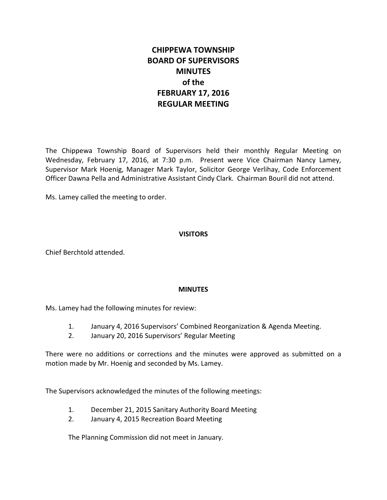# **CHIPPEWA TOWNSHIP BOARD OF SUPERVISORS MINUTES of the FEBRUARY 17, 2016 REGULAR MEETING**

The Chippewa Township Board of Supervisors held their monthly Regular Meeting on Wednesday, February 17, 2016, at 7:30 p.m. Present were Vice Chairman Nancy Lamey, Supervisor Mark Hoenig, Manager Mark Taylor, Solicitor George Verlihay, Code Enforcement Officer Dawna Pella and Administrative Assistant Cindy Clark. Chairman Bouril did not attend.

Ms. Lamey called the meeting to order.

# **VISITORS**

Chief Berchtold attended.

# **MINUTES**

Ms. Lamey had the following minutes for review:

- 1. January 4, 2016 Supervisors' Combined Reorganization & Agenda Meeting.
- 2. January 20, 2016 Supervisors' Regular Meeting

There were no additions or corrections and the minutes were approved as submitted on a motion made by Mr. Hoenig and seconded by Ms. Lamey.

The Supervisors acknowledged the minutes of the following meetings:

- 1. December 21, 2015 Sanitary Authority Board Meeting
- 2. January 4, 2015 Recreation Board Meeting

The Planning Commission did not meet in January.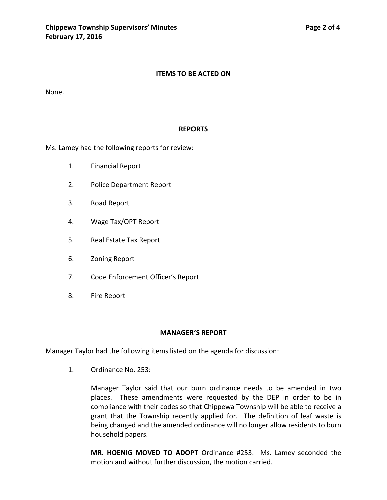### **ITEMS TO BE ACTED ON**

None.

#### **REPORTS**

Ms. Lamey had the following reports for review:

- 1. Financial Report
- 2. Police Department Report
- 3. Road Report
- 4. Wage Tax/OPT Report
- 5. Real Estate Tax Report
- 6. Zoning Report
- 7. Code Enforcement Officer's Report
- 8. Fire Report

### **MANAGER'S REPORT**

Manager Taylor had the following items listed on the agenda for discussion:

1. Ordinance No. 253:

Manager Taylor said that our burn ordinance needs to be amended in two places. These amendments were requested by the DEP in order to be in compliance with their codes so that Chippewa Township will be able to receive a grant that the Township recently applied for. The definition of leaf waste is being changed and the amended ordinance will no longer allow residents to burn household papers.

**MR. HOENIG MOVED TO ADOPT** Ordinance #253. Ms. Lamey seconded the motion and without further discussion, the motion carried.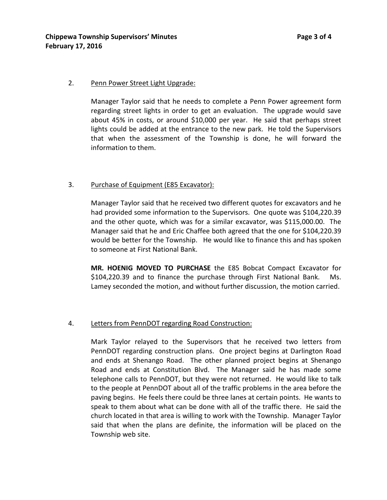# 2. Penn Power Street Light Upgrade:

Manager Taylor said that he needs to complete a Penn Power agreement form regarding street lights in order to get an evaluation. The upgrade would save about 45% in costs, or around \$10,000 per year. He said that perhaps street lights could be added at the entrance to the new park. He told the Supervisors that when the assessment of the Township is done, he will forward the information to them.

# 3. Purchase of Equipment (E85 Excavator):

Manager Taylor said that he received two different quotes for excavators and he had provided some information to the Supervisors. One quote was \$104,220.39 and the other quote, which was for a similar excavator, was \$115,000.00. The Manager said that he and Eric Chaffee both agreed that the one for \$104,220.39 would be better for the Township. He would like to finance this and has spoken to someone at First National Bank.

**MR. HOENIG MOVED TO PURCHASE** the E85 Bobcat Compact Excavator for \$104,220.39 and to finance the purchase through First National Bank. Ms. Lamey seconded the motion, and without further discussion, the motion carried.

# 4. Letters from PennDOT regarding Road Construction:

Mark Taylor relayed to the Supervisors that he received two letters from PennDOT regarding construction plans. One project begins at Darlington Road and ends at Shenango Road. The other planned project begins at Shenango Road and ends at Constitution Blvd. The Manager said he has made some telephone calls to PennDOT, but they were not returned. He would like to talk to the people at PennDOT about all of the traffic problems in the area before the paving begins. He feels there could be three lanes at certain points. He wants to speak to them about what can be done with all of the traffic there. He said the church located in that area is willing to work with the Township. Manager Taylor said that when the plans are definite, the information will be placed on the Township web site.